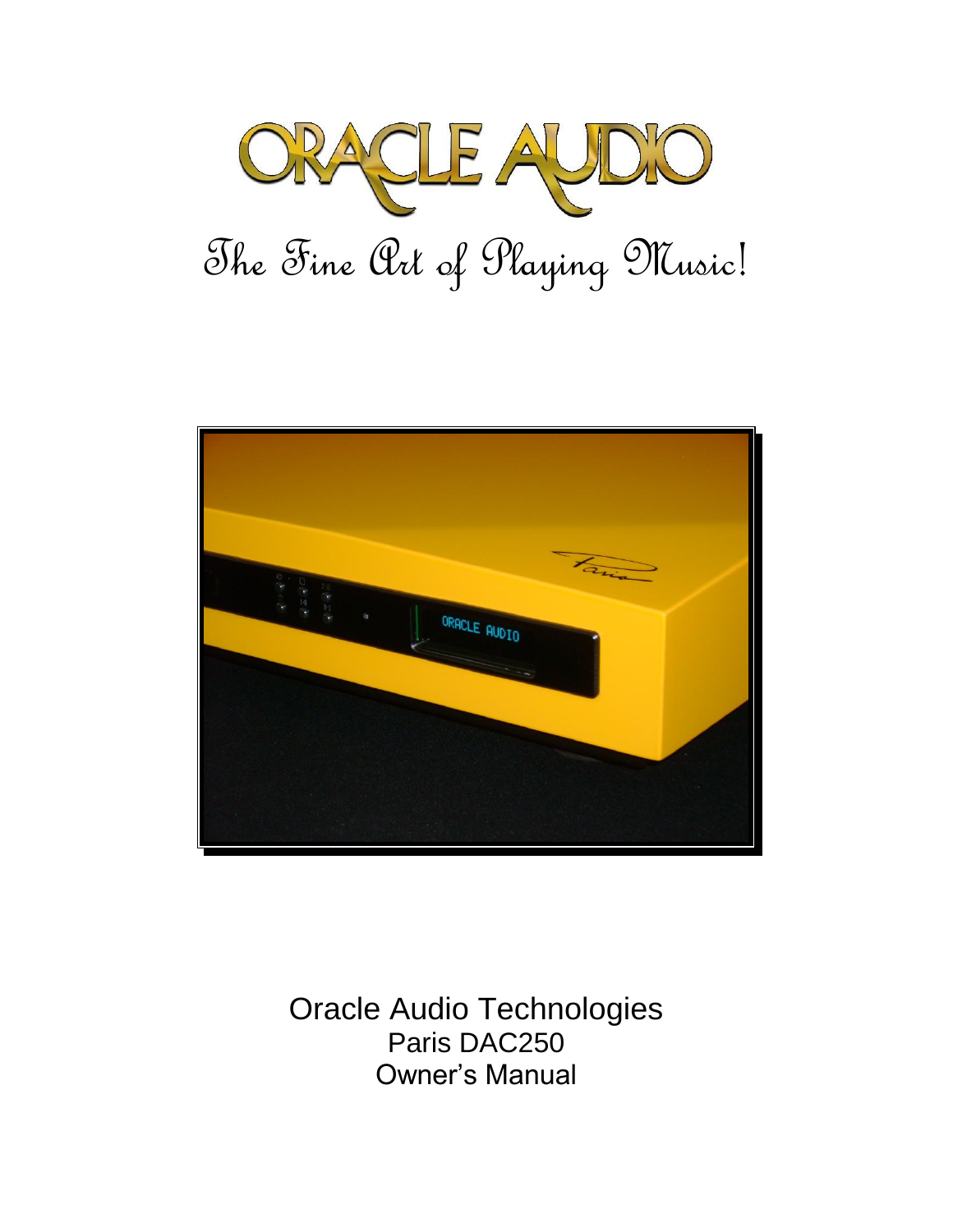



Oracle Audio Technologies Paris DAC250 Owner's Manual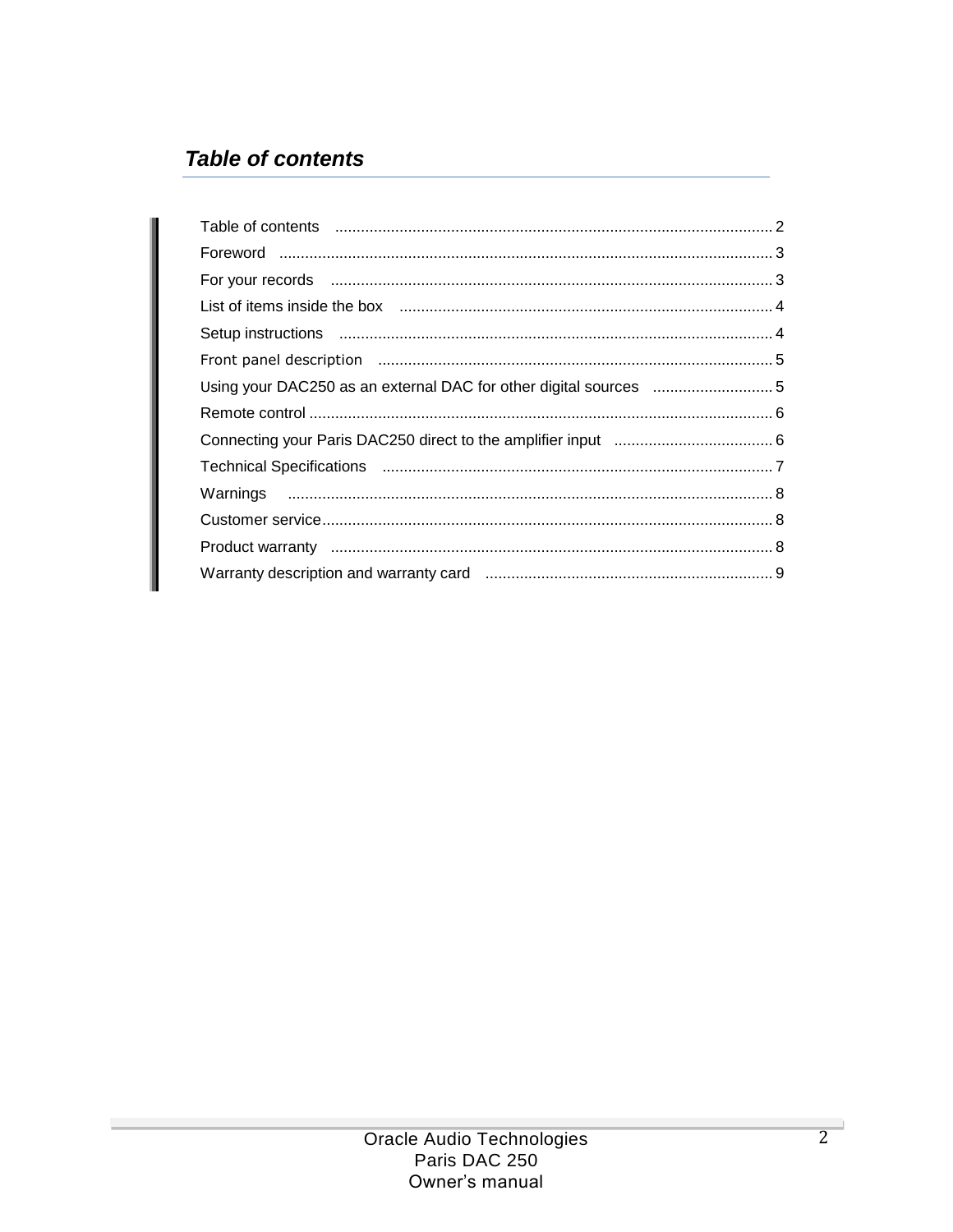# **Table of contents**

| Using your DAC250 as an external DAC for other digital sources 5 |  |
|------------------------------------------------------------------|--|
|                                                                  |  |
|                                                                  |  |
|                                                                  |  |
|                                                                  |  |
|                                                                  |  |
|                                                                  |  |
|                                                                  |  |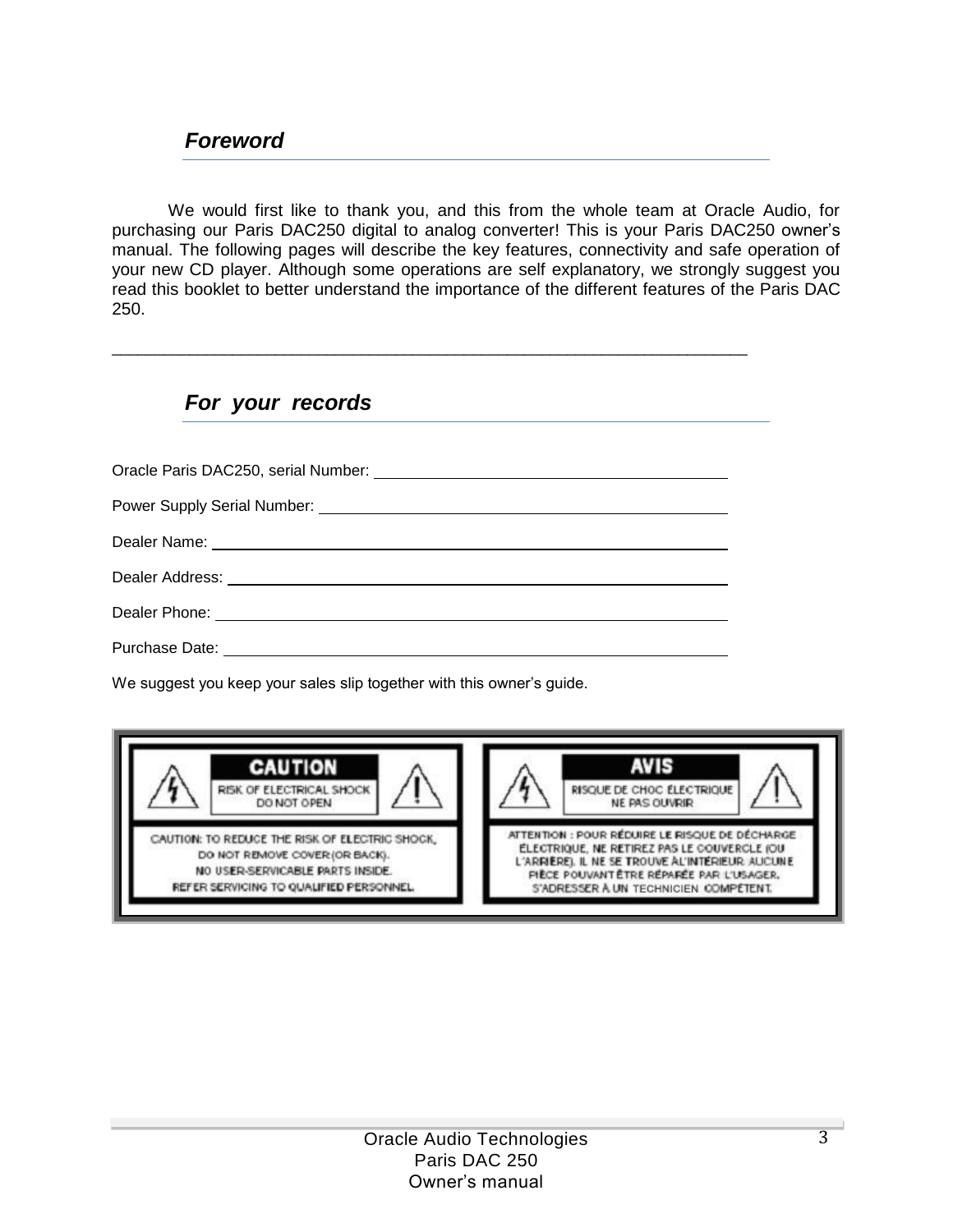We would first like to thank you, and this from the whole team at Oracle Audio, for purchasing our Paris DAC250 digital to analog converter! This is your Paris DAC250 owner's manual. The following pages will describe the key features, connectivity and safe operation of your new CD player. Although some operations are self explanatory, we strongly suggest you read this booklet to better understand the importance of the different features of the Paris DAC 250.

## *For your records*

| Dealer Name: <u>experience</u> and the contract of the contract of the contract of the contract of the contract of the contract of the contract of the contract of the contract of the contract of the contract of the contract of |
|------------------------------------------------------------------------------------------------------------------------------------------------------------------------------------------------------------------------------------|
|                                                                                                                                                                                                                                    |
|                                                                                                                                                                                                                                    |
| Purchase Date:                                                                                                                                                                                                                     |

\_\_\_\_\_\_\_\_\_\_\_\_\_\_\_\_\_\_\_\_\_\_\_\_\_\_\_\_\_\_\_\_\_\_\_\_\_\_\_\_\_\_\_\_\_\_\_\_\_\_\_\_\_\_\_\_\_\_\_\_\_\_\_\_\_\_\_\_\_\_\_\_\_\_

We suggest you keep your sales slip together with this owner's guide.

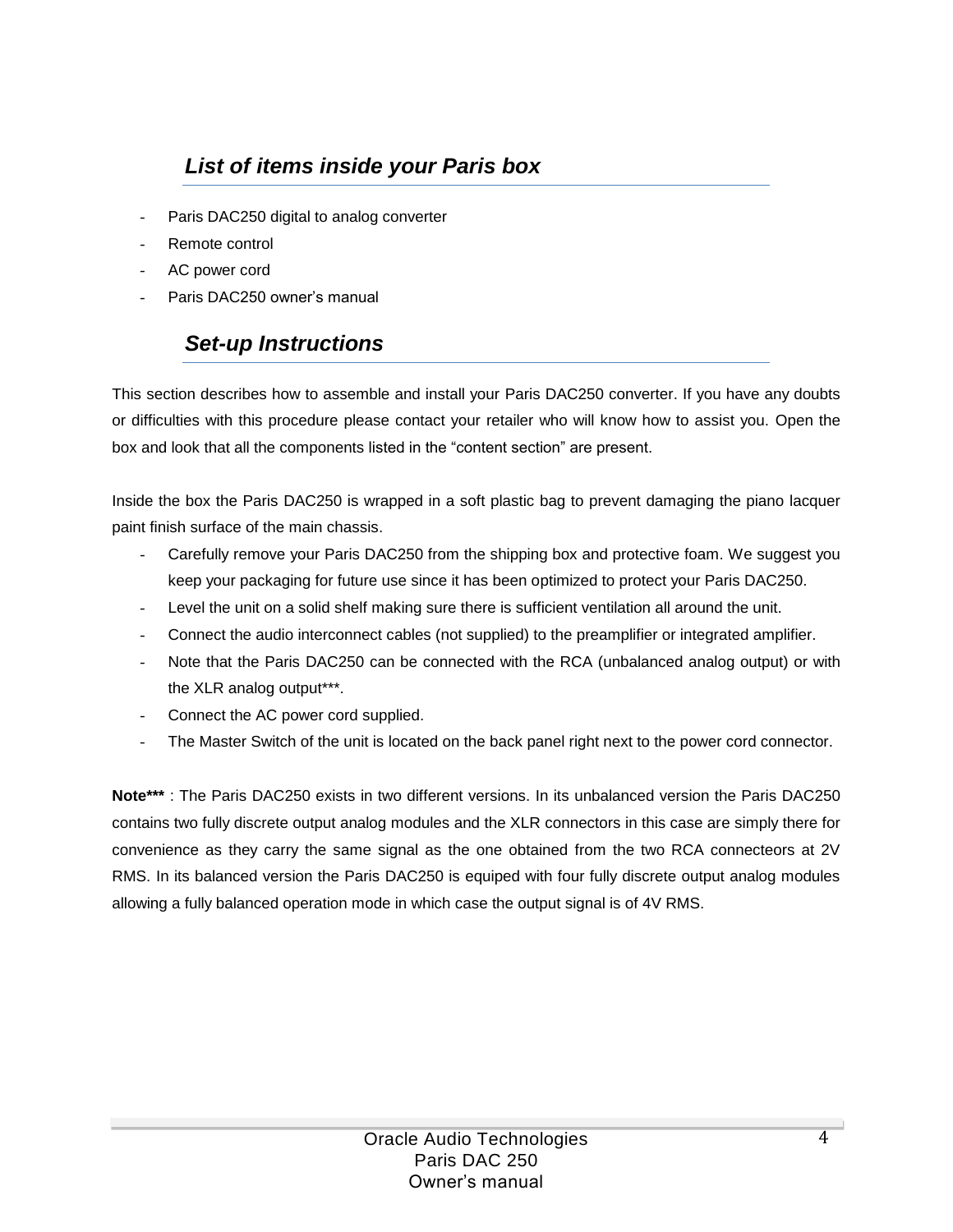## *List of items inside your Paris box*

- Paris DAC250 digital to analog converter
- Remote control
- AC power cord
- Paris DAC250 owner's manual

## *Set-up Instructions*

This section describes how to assemble and install your Paris DAC250 converter. If you have any doubts or difficulties with this procedure please contact your retailer who will know how to assist you. Open the box and look that all the components listed in the "content section" are present.

Inside the box the Paris DAC250 is wrapped in a soft plastic bag to prevent damaging the piano lacquer paint finish surface of the main chassis.

- Carefully remove your Paris DAC250 from the shipping box and protective foam. We suggest you keep your packaging for future use since it has been optimized to protect your Paris DAC250.
- Level the unit on a solid shelf making sure there is sufficient ventilation all around the unit.
- Connect the audio interconnect cables (not supplied) to the preamplifier or integrated amplifier.
- Note that the Paris DAC250 can be connected with the RCA (unbalanced analog output) or with the XLR analog output\*\*\*.
- Connect the AC power cord supplied.
- The Master Switch of the unit is located on the back panel right next to the power cord connector.

**Note\*\*\*** : The Paris DAC250 exists in two different versions. In its unbalanced version the Paris DAC250 contains two fully discrete output analog modules and the XLR connectors in this case are simply there for convenience as they carry the same signal as the one obtained from the two RCA connecteors at 2V RMS. In its balanced version the Paris DAC250 is equiped with four fully discrete output analog modules allowing a fully balanced operation mode in which case the output signal is of 4V RMS.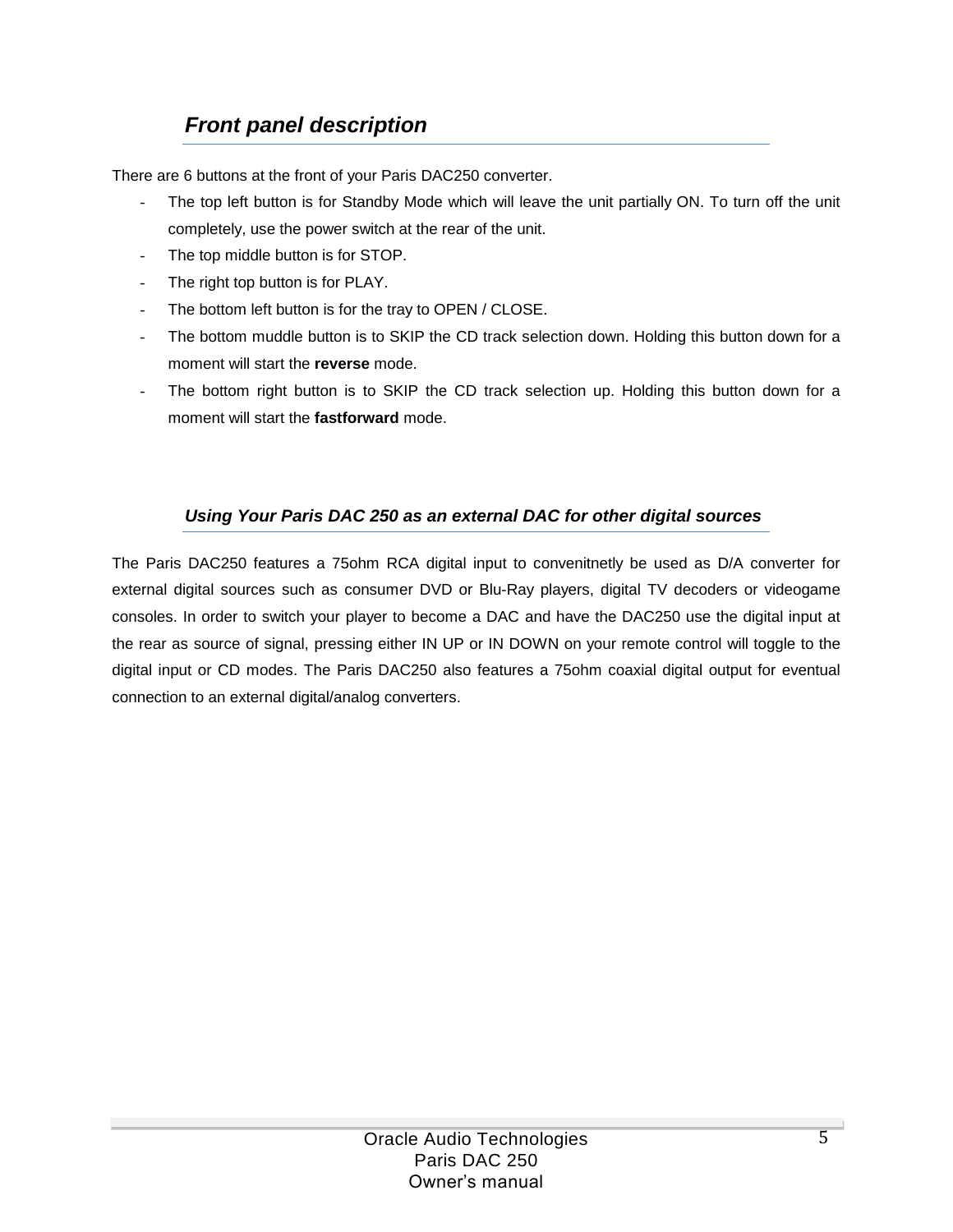# *Front panel description*

There are 6 buttons at the front of your Paris DAC250 converter.

- The top left button is for Standby Mode which will leave the unit partially ON. To turn off the unit completely, use the power switch at the rear of the unit.
- The top middle button is for STOP.
- The right top button is for PLAY.
- The bottom left button is for the tray to OPEN / CLOSE.
- The bottom muddle button is to SKIP the CD track selection down. Holding this button down for a moment will start the **reverse** mode.
- The bottom right button is to SKIP the CD track selection up. Holding this button down for a moment will start the **fastforward** mode.

#### *Using Your Paris DAC 250 as an external DAC for other digital sources*

The Paris DAC250 features a 75ohm RCA digital input to convenitnetly be used as D/A converter for external digital sources such as consumer DVD or Blu-Ray players, digital TV decoders or videogame consoles. In order to switch your player to become a DAC and have the DAC250 use the digital input at the rear as source of signal, pressing either IN UP or IN DOWN on your remote control will toggle to the digital input or CD modes. The Paris DAC250 also features a 75ohm coaxial digital output for eventual connection to an external digital/analog converters.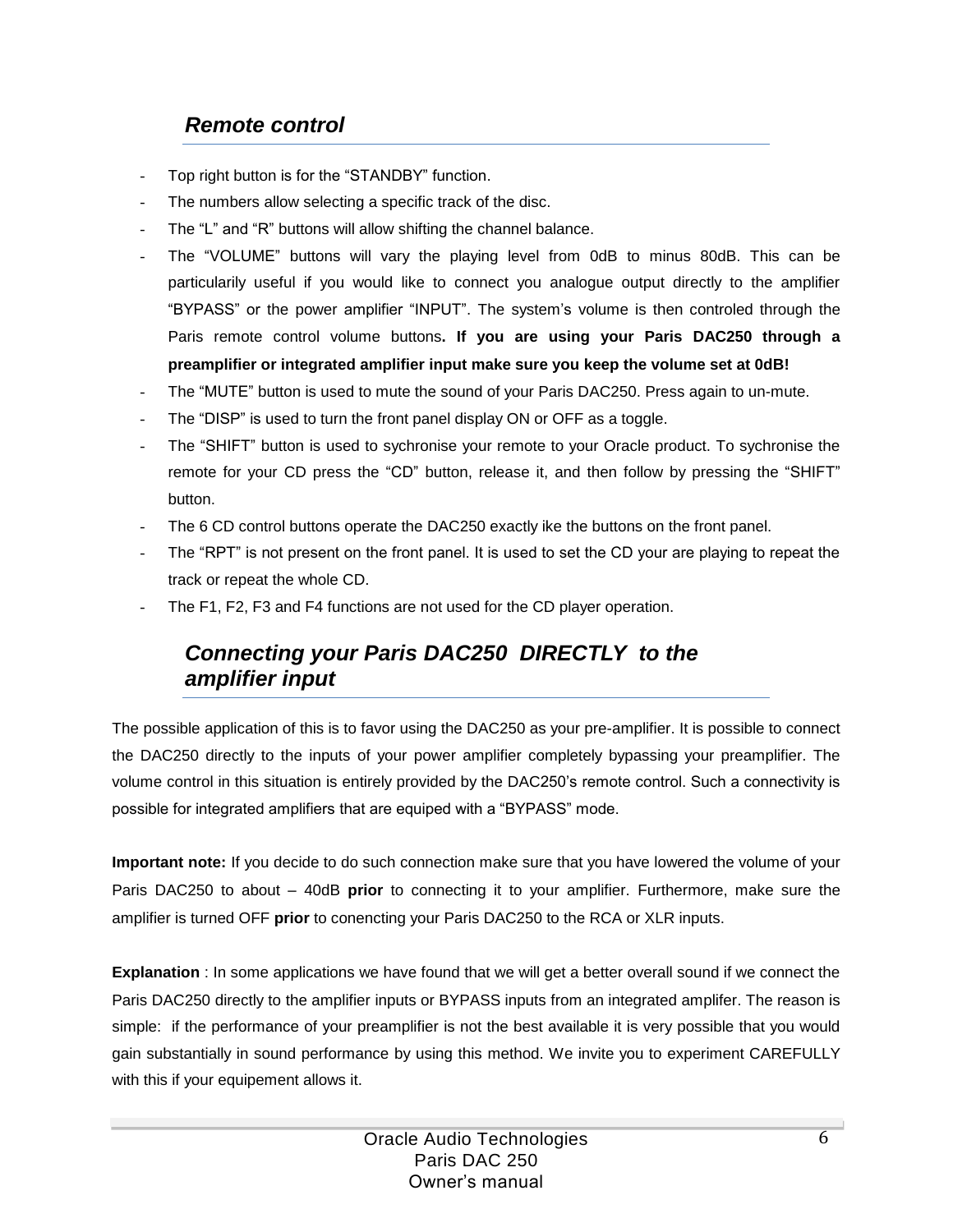### *Remote control*

- Top right button is for the "STANDBY" function.
- The numbers allow selecting a specific track of the disc.
- The "L" and "R" buttons will allow shifting the channel balance.
- The "VOLUME" buttons will vary the playing level from 0dB to minus 80dB. This can be particularily useful if you would like to connect you analogue output directly to the amplifier "BYPASS" or the power amplifier "INPUT". The system's volume is then controled through the Paris remote control volume buttons**. If you are using your Paris DAC250 through a preamplifier or integrated amplifier input make sure you keep the volume set at 0dB!**
- The "MUTE" button is used to mute the sound of your Paris DAC250. Press again to un-mute.
- The "DISP" is used to turn the front panel display ON or OFF as a toggle.
- The "SHIFT" button is used to sychronise your remote to your Oracle product. To sychronise the remote for your CD press the "CD" button, release it, and then follow by pressing the "SHIFT" button.
- The 6 CD control buttons operate the DAC250 exactly ike the buttons on the front panel.
- The "RPT" is not present on the front panel. It is used to set the CD your are playing to repeat the track or repeat the whole CD.
- The F1, F2, F3 and F4 functions are not used for the CD player operation.

### *Connecting your Paris DAC250 DIRECTLY to the amplifier input*

The possible application of this is to favor using the DAC250 as your pre-amplifier. It is possible to connect the DAC250 directly to the inputs of your power amplifier completely bypassing your preamplifier. The volume control in this situation is entirely provided by the DAC250's remote control. Such a connectivity is possible for integrated amplifiers that are equiped with a "BYPASS" mode.

**Important note:** If you decide to do such connection make sure that you have lowered the volume of your Paris DAC250 to about – 40dB **prior** to connecting it to your amplifier. Furthermore, make sure the amplifier is turned OFF **prior** to conencting your Paris DAC250 to the RCA or XLR inputs.

**Explanation** : In some applications we have found that we will get a better overall sound if we connect the Paris DAC250 directly to the amplifier inputs or BYPASS inputs from an integrated amplifer. The reason is simple: if the performance of your preamplifier is not the best available it is very possible that you would gain substantially in sound performance by using this method. We invite you to experiment CAREFULLY with this if your equipement allows it.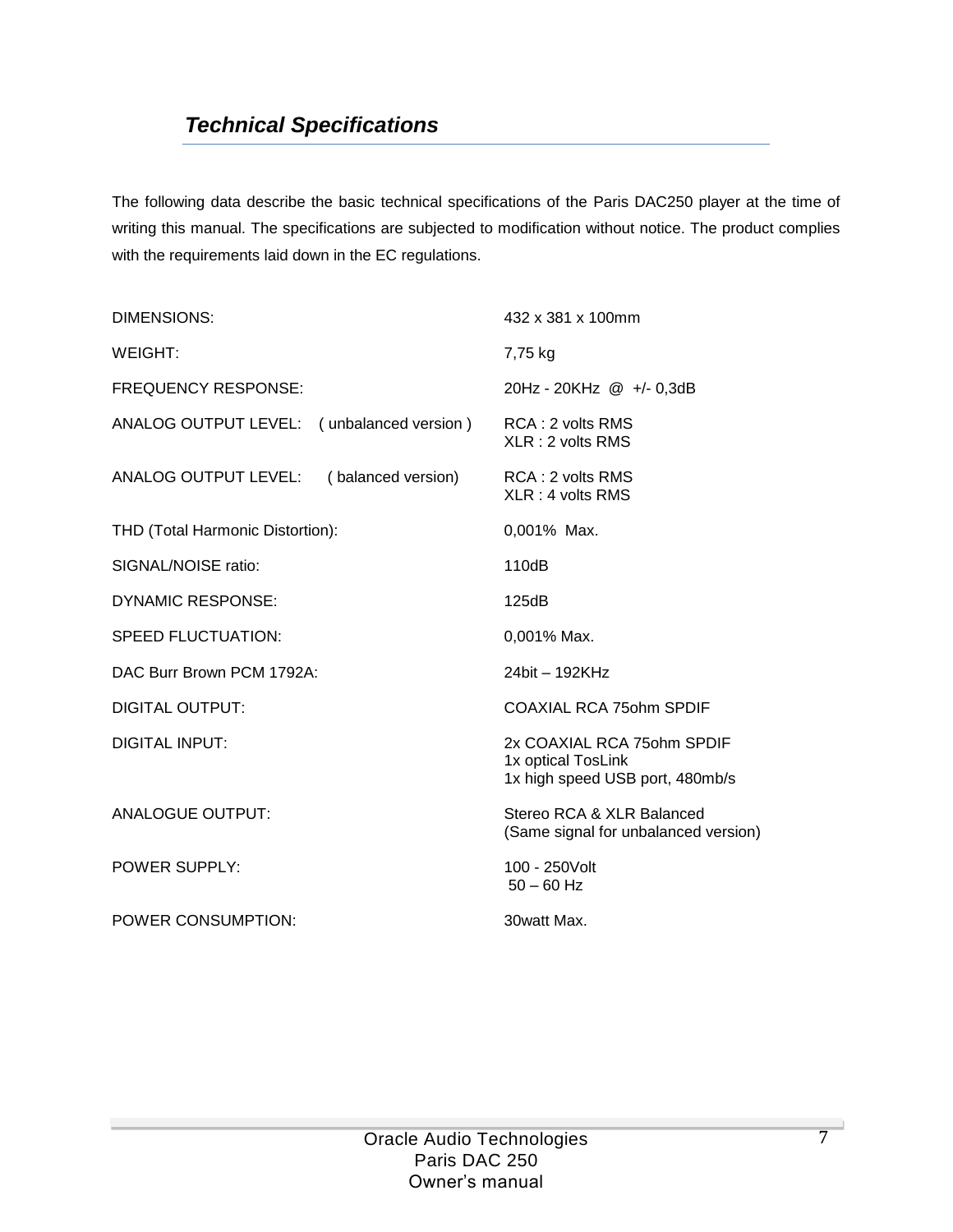## *Technical Specifications*

The following data describe the basic technical specifications of the Paris DAC250 player at the time of writing this manual. The specifications are subjected to modification without notice. The product complies with the requirements laid down in the EC regulations.

| DIMENSIONS:                                | 432 x 381 x 100mm                                                                   |
|--------------------------------------------|-------------------------------------------------------------------------------------|
| WEIGHT:                                    | 7,75 kg                                                                             |
| <b>FREQUENCY RESPONSE:</b>                 | 20Hz - 20KHz @ +/- 0,3dB                                                            |
| ANALOG OUTPUT LEVEL: (unbalanced version)  | RCA: 2 volts RMS<br>$XLR:2$ volts RMS                                               |
| ANALOG OUTPUT LEVEL:<br>(balanced version) | RCA: 2 volts RMS<br>XLR: 4 volts RMS                                                |
| THD (Total Harmonic Distortion):           | 0,001% Max.                                                                         |
| SIGNAL/NOISE ratio:                        | 110dB                                                                               |
| DYNAMIC RESPONSE:                          | 125dB                                                                               |
| <b>SPEED FLUCTUATION:</b>                  | $0,001\%$ Max.                                                                      |
| DAC Burr Brown PCM 1792A:                  | 24bit - 192KHz                                                                      |
| DIGITAL OUTPUT:                            | COAXIAL RCA 750hm SPDIF                                                             |
| <b>DIGITAL INPUT:</b>                      | 2x COAXIAL RCA 75ohm SPDIF<br>1x optical TosLink<br>1x high speed USB port, 480mb/s |
| <b>ANALOGUE OUTPUT:</b>                    | Stereo RCA & XLR Balanced<br>(Same signal for unbalanced version)                   |
| <b>POWER SUPPLY:</b>                       | 100 - 250 Volt<br>$50 - 60$ Hz                                                      |
| POWER CONSUMPTION:                         | 30watt Max.                                                                         |
|                                            |                                                                                     |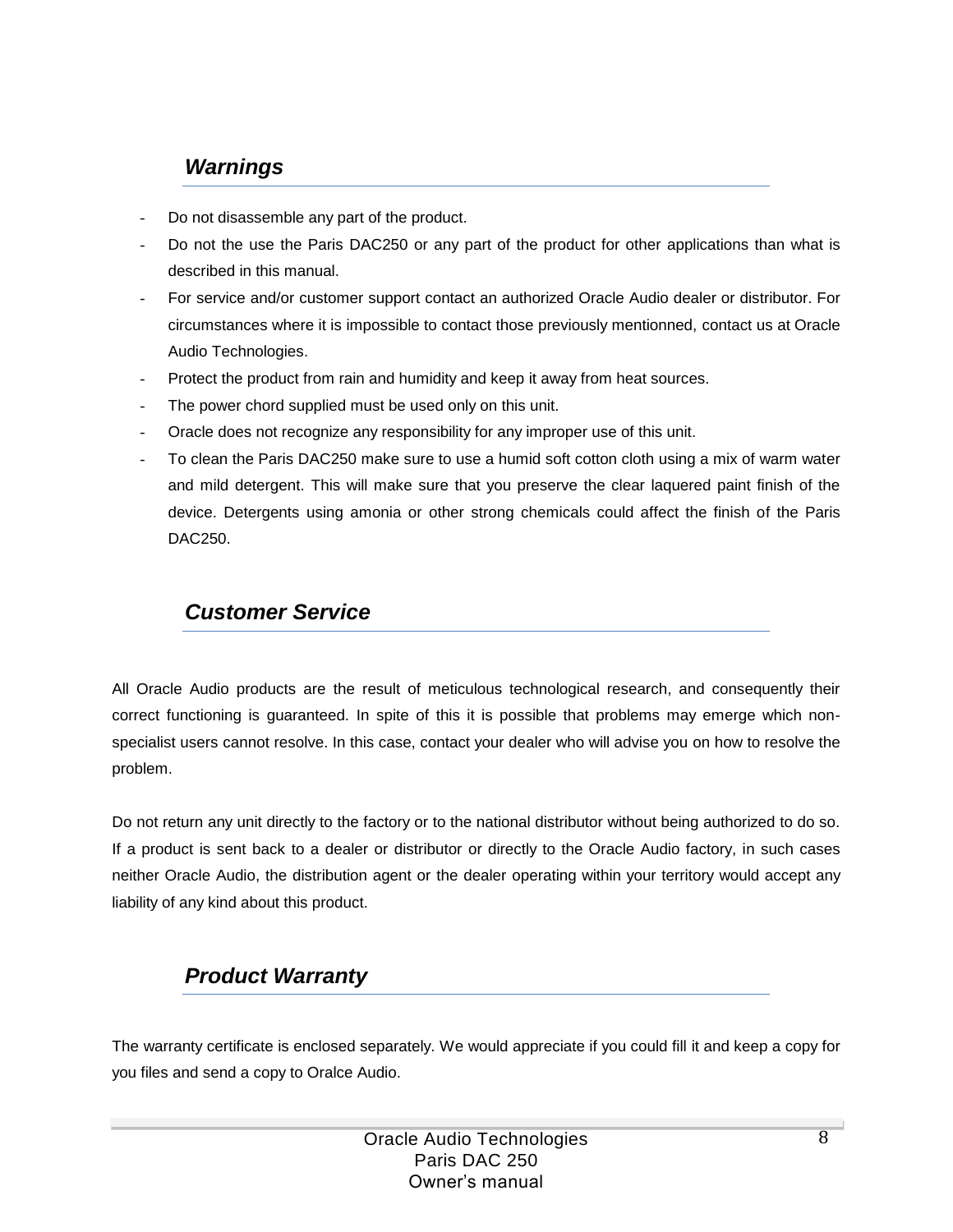#### *Warnings*

- Do not disassemble any part of the product.
- Do not the use the Paris DAC250 or any part of the product for other applications than what is described in this manual.
- For service and/or customer support contact an authorized Oracle Audio dealer or distributor. For circumstances where it is impossible to contact those previously mentionned, contact us at Oracle Audio Technologies.
- Protect the product from rain and humidity and keep it away from heat sources.
- The power chord supplied must be used only on this unit.
- Oracle does not recognize any responsibility for any improper use of this unit.
- To clean the Paris DAC250 make sure to use a humid soft cotton cloth using a mix of warm water and mild detergent. This will make sure that you preserve the clear laquered paint finish of the device. Detergents using amonia or other strong chemicals could affect the finish of the Paris DAC250.

#### *Customer Service*

All Oracle Audio products are the result of meticulous technological research, and consequently their correct functioning is guaranteed. In spite of this it is possible that problems may emerge which nonspecialist users cannot resolve. In this case, contact your dealer who will advise you on how to resolve the problem.

Do not return any unit directly to the factory or to the national distributor without being authorized to do so. If a product is sent back to a dealer or distributor or directly to the Oracle Audio factory, in such cases neither Oracle Audio, the distribution agent or the dealer operating within your territory would accept any liability of any kind about this product.

### *Product Warranty*

The warranty certificate is enclosed separately. We would appreciate if you could fill it and keep a copy for you files and send a copy to Oralce Audio.